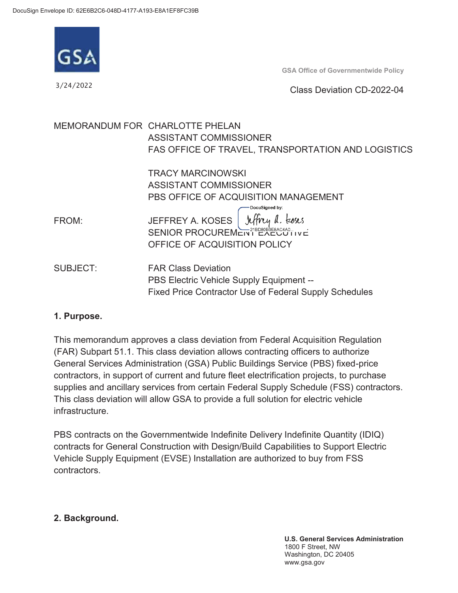

3/24/2022

**GSA Office of Governmentwide Policy** 

#### Class Deviation CD-2022-04

|                 | MEMORANDUM FOR CHARLOTTE PHELAN                               |
|-----------------|---------------------------------------------------------------|
|                 | ASSISTANT COMMISSIONER                                        |
|                 | FAS OFFICE OF TRAVEL, TRANSPORTATION AND LOGISTICS            |
|                 | <b>TRACY MARCINOWSKI</b>                                      |
|                 | ASSISTANT COMMISSIONER                                        |
|                 | PBS OFFICE OF ACQUISITION MANAGEMENT                          |
| FROM:           | DocuSigned by:<br>JEFFREY A. KOSES Jeffry a. Loses            |
|                 |                                                               |
|                 | OFFICE OF ACQUISITION POLICY                                  |
| <b>SUBJECT:</b> | <b>FAR Class Deviation</b>                                    |
|                 | PBS Electric Vehicle Supply Equipment --                      |
|                 | <b>Fixed Price Contractor Use of Federal Supply Schedules</b> |

#### **1. Purpose.**

infrastructure This memorandum approves a class deviation from Federal Acquisition Regulation (FAR) Subpart 51.1. This class deviation allows contracting officers to authorize General Services Administration (GSA) Public Buildings Service (PBS) fixed-price contractors, in support of current and future fleet electrification projects, to purchase supplies and ancillary services from certain Federal Supply Schedule (FSS) contractors. This class deviation will allow GSA to provide a full solution for electric vehicle

PBS contracts on the Governmentwide Indefinite Delivery Indefinite Quantity (IDIQ) contracts for General Construction with Design/Build Capabilities to Support Electric Vehicle Supply Equipment (EVSE) Installation are authorized to buy from FSS contractors.

#### **2. Background.**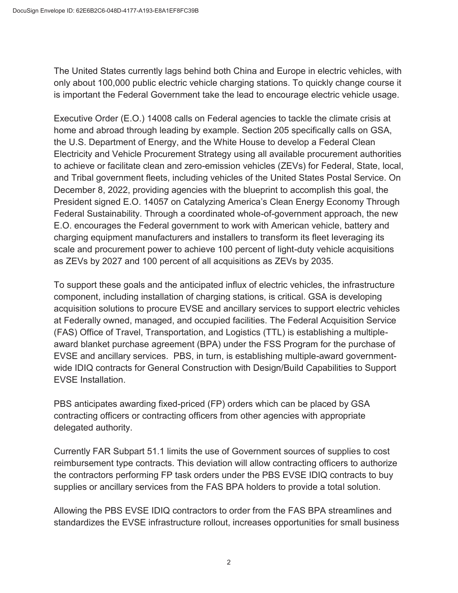The United States currently lags behind both China and Europe in electric vehicles, with only about 100,000 public electric vehicle charging stations. To quickly change course it is important the Federal Government take the lead to encourage electric vehicle usage.

Executive Order (E.O.) 14008 calls on Federal agencies to tackle the climate crisis at home and abroad through leading by example. Section 205 specifically calls on GSA, the U.S. Department of Energy, and the White House to develop a Federal Clean Electricity and Vehicle Procurement Strategy using all available procurement authorities to achieve or facilitate clean and zero-emission vehicles (ZEVs) for Federal, State, local, and Tribal government fleets, including vehicles of the United States Postal Service. On December 8, 2022, providing agencies with the blueprint to accomplish this goal, the President signed E.O. 14057 on Catalyzing America's Clean Energy Economy Through Federal Sustainability. Through a coordinated whole-of-government approach, the new E.O. encourages the Federal government to work with American vehicle, battery and charging equipment manufacturers and installers to transform its fleet leveraging its scale and procurement power to achieve 100 percent of light-duty vehicle acquisitions as ZEVs by 2027 and 100 percent of all acquisitions as ZEVs by 2035.

**EVSE** Installation. To support these goals and the anticipated influx of electric vehicles, the infrastructure component, including installation of charging stations, is critical. GSA is developing acquisition solutions to procure EVSE and ancillary services to support electric vehicles at Federally owned, managed, and occupied facilities. The Federal Acquisition Service (FAS) Office of Travel, Transportation, and Logistics (TTL) is establishing a multipleaward blanket purchase agreement (BPA) under the FSS Program for the purchase of EVSE and ancillary services. PBS, in turn, is establishing multiple-award governmentwide IDIQ contracts for General Construction with Design/Build Capabilities to Support

PBS anticipates awarding fixed-priced (FP) orders which can be placed by GSA contracting officers or contracting officers from other agencies with appropriate delegated authority.

supplies or ancillary services from the FAS BPA holders to provide a total solution. Currently FAR Subpart 51.1 limits the use of Government sources of supplies to cost reimbursement type contracts. This deviation will allow contracting officers to authorize the contractors performing FP task orders under the PBS EVSE IDIQ contracts to buy

Allowing the PBS EVSE IDIQ contractors to order from the FAS BPA streamlines and standardizes the EVSE infrastructure rollout, increases opportunities for small business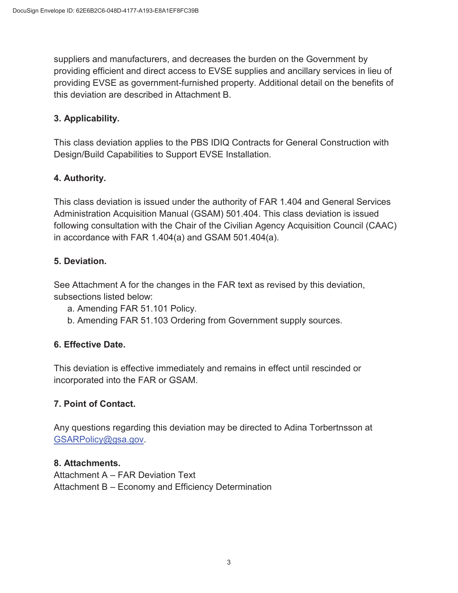suppliers and manufacturers, and decreases the burden on the Government by providing efficient and direct access to EVSE supplies and ancillary services in lieu of providing EVSE as government-furnished property. Additional detail on the benefits of this deviation are described in Attachment B.

## **3. Applicability.**

This class deviation applies to the PBS IDIQ Contracts for General Construction with Design/Build Capabilities to Support EVSE Installation.

## **4. Authority.**

This class deviation is issued under the authority of FAR 1.404 and General Services Administration Acquisition Manual (GSAM) 501.404. This class deviation is issued following consultation with the Chair of the Civilian Agency Acquisition Council (CAAC) in accordance with FAR 1.404(a) and GSAM 501.404(a).

## **5. Deviation.**

subsections listed below: See Attachment A for the changes in the FAR text as revised by this deviation,

- a. Amending FAR 51.101 Policy.
- b. Amending FAR 51.103 Ordering from Government supply sources.

## **6. Effective Date.**

This deviation is effective immediately and remains in effect until rescinded or incorporated into the FAR or GSAM.

## **7. Point of Contact.**

Any questions regarding this deviation may be directed to Adina Torbertnsson at [GSARPolicy@gsa.gov](mailto:GSARPolicy@gsa.gov).

#### **8. Attachments.**

Attachment A – FAR Deviation Text Attachment B – Economy and Efficiency Determination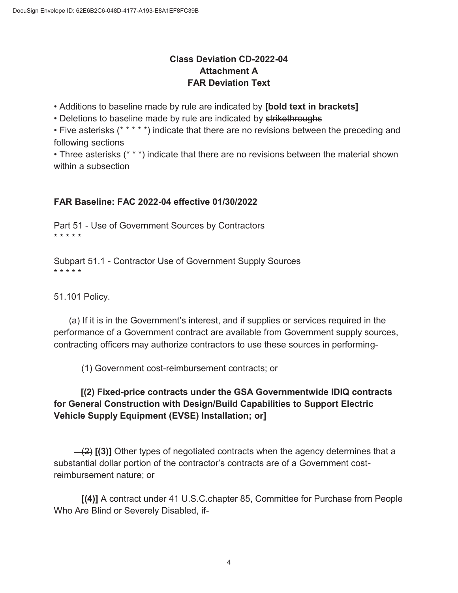## **Class Deviation CD-2022-04 Attachment A FAR Deviation Text**

• Additions to baseline made by rule are indicated by **[bold text in brackets]** 

• Deletions to baseline made by rule are indicated by strikethroughs

• Five asterisks (\* \* \* \* \*) indicate that there are no revisions between the preceding and following sections

• Three asterisks (\* \* \*) indicate that there are no revisions between the material shown within a subsection

## **FAR Baseline: FAC 2022-04 effective 01/30/2022**

Part 51 - Use of Government Sources by Contractors \* \* \* \* \*

Subpart 51.1 - Contractor Use of Government Supply Sources \* \* \* \* \*

51.101 Policy.

(a) If it is in the Government's interest, and if supplies or services required in the performance of a Government contract are available from Government supply sources, contracting officers may authorize contractors to use these sources in performing-

(1) Government cost-reimbursement contracts; or

# **Vehicle Supply Equipment (EVSE) Installation; or] [(2) Fixed-price contracts under the GSA Governmentwide IDIQ contracts for General Construction with Design/Build Capabilities to Support Electric**

 reimbursement nature; or (2) **[(3)]** Other types of negotiated contracts when the agency determines that a substantial dollar portion of the contractor's contracts are of a Government cost-

 **[(4)]** A contract under 41 U.S.C.chapter 85, Committee for Purchase from People Who Are Blind or Severely Disabled, if-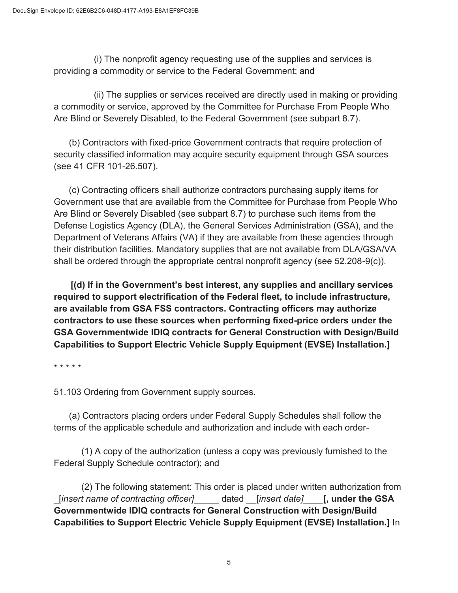(i) The nonprofit agency requesting use of the supplies and services is providing a commodity or service to the Federal Government; and

(ii) The supplies or services received are directly used in making or providing a commodity or service, approved by the Committee for Purchase From People Who Are Blind or Severely Disabled, to the Federal Government (see subpart 8.7).

 (b) Contractors with fixed-price Government contracts that require protection of security classified information may acquire security equipment through GSA sources (see 41 CFR 101-26.507).

 (c) Contracting officers shall authorize contractors purchasing supply items for Government use that are available from the Committee for Purchase from People Who Are Blind or Severely Disabled (see subpart 8.7) to purchase such items from the Defense Logistics Agency (DLA), the General Services Administration (GSA), and the Department of Veterans Affairs (VA) if they are available from these agencies through their distribution facilities. Mandatory supplies that are not available from DLA/GSA/VA shall be ordered through the appropriate central nonprofit agency (see 52.208-9(c)).

**[(d) If in the Government's best interest, any supplies and ancillary services required to support electrification of the Federal fleet, to include infrastructure, are available from GSA FSS contractors. Contracting officers may authorize contractors to use these sources when performing fixed-price orders under the GSA Governmentwide IDIQ contracts for General Construction with Design/Build Capabilities to Support Electric Vehicle Supply Equipment (EVSE) Installation.]** 

\* \* \* \* \*

51.103 Ordering from Government supply sources.

(a) Contractors placing orders under Federal Supply Schedules shall follow the terms of the applicable schedule and authorization and include with each order-

 Federal Supply Schedule contractor); and (1) A copy of the authorization (unless a copy was previously furnished to the

(2) The following statement: This order is placed under written authorization from \_[*insert name of contracting officer]*\_\_\_\_\_ dated \_\_[*insert date]*\_\_\_\_**[, under the GSA Governmentwide IDIQ contracts for General Construction with Design/Build Capabilities to Support Electric Vehicle Supply Equipment (EVSE) Installation.]** In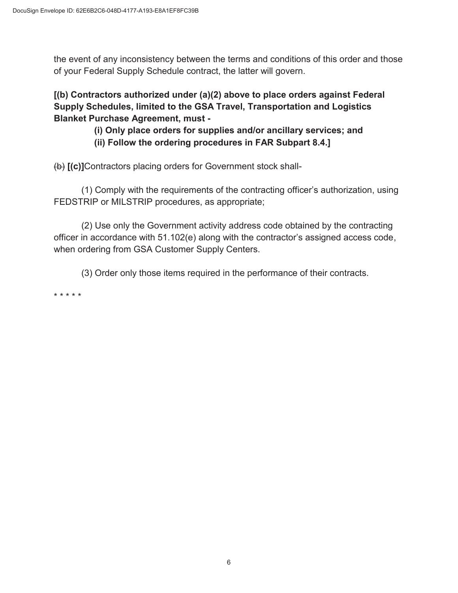the event of any inconsistency between the terms and conditions of this order and those of your Federal Supply Schedule contract, the latter will govern.

**[(b) Contractors authorized under (a)(2) above to place orders against Federal Supply Schedules, limited to the GSA Travel, Transportation and Logistics Blanket Purchase Agreement, must -**

> **(i) Only place orders for supplies and/or ancillary services; and (ii) Follow the ordering procedures in FAR Subpart 8.4.]**

(b) **[(c)]**Contractors placing orders for Government stock shall-

(1) Comply with the requirements of the contracting officer's authorization, using FEDSTRIP or MILSTRIP procedures, as appropriate;

(2) Use only the Government activity address code obtained by the contracting officer in accordance with 51.102(e) along with the contractor's assigned access code, when ordering from GSA Customer Supply Centers.

(3) Order only those items required in the performance of their contracts.

\* \* \* \* \*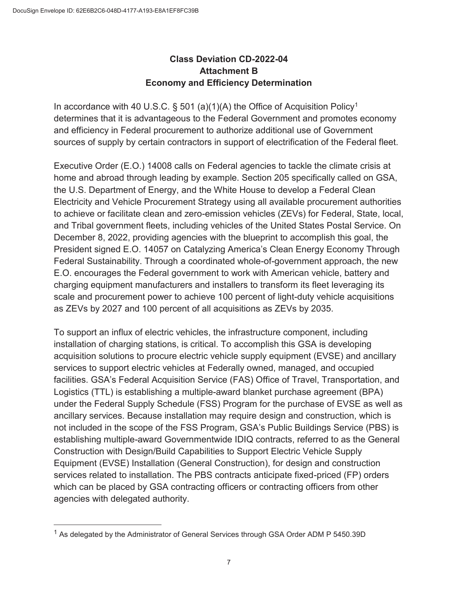$\overline{a}$ 

## **Class Deviation CD-2022-04 Attachment B Economy and Efficiency Determination**

In accordance with 40 U.S.C.  $\S$  501 (a)(1)(A) the Office of Acquisition Policy<sup>1</sup> determines that it is advantageous to the Federal Government and promotes economy and efficiency in Federal procurement to authorize additional use of Government

sources of supply by certain contractors in support of electrification of the Federal fleet.<br>Executive Order (E.O.) 14008 calls on Federal agencies to tackle the climate crisis at home and abroad through leading by example. Section 205 specifically called on GSA, the U.S. Department of Energy, and the White House to develop a Federal Clean Electricity and Vehicle Procurement Strategy using all available procurement authorities to achieve or facilitate clean and zero-emission vehicles (ZEVs) for Federal, State, local, and Tribal government fleets, including vehicles of the United States Postal Service. On December 8, 2022, providing agencies with the blueprint to accomplish this goal, the President signed E.O. 14057 on Catalyzing America's Clean Energy Economy Through Federal Sustainability. Through a coordinated whole-of-government approach, the new E.O. encourages the Federal government to work with American vehicle, battery and charging equipment manufacturers and installers to transform its fleet leveraging its scale and procurement power to achieve 100 percent of light-duty vehicle acquisitions as ZEVs by 2027 and 100 percent of all acquisitions as ZEVs by 2035.

 ancillary services. Because installation may require design and construction, which is To support an influx of electric vehicles, the infrastructure component, including installation of charging stations, is critical. To accomplish this GSA is developing acquisition solutions to procure electric vehicle supply equipment (EVSE) and ancillary services to support electric vehicles at Federally owned, managed, and occupied facilities. GSA's Federal Acquisition Service (FAS) Office of Travel, Transportation, and Logistics (TTL) is establishing a multiple-award blanket purchase agreement (BPA) under the Federal Supply Schedule (FSS) Program for the purchase of EVSE as well as not included in the scope of the FSS Program, GSA's Public Buildings Service (PBS) is establishing multiple-award Governmentwide IDIQ contracts, referred to as the General Construction with Design/Build Capabilities to Support Electric Vehicle Supply Equipment (EVSE) Installation (General Construction), for design and construction services related to installation. The PBS contracts anticipate fixed-priced (FP) orders which can be placed by GSA contracting officers or contracting officers from other agencies with delegated authority.

<sup>&</sup>lt;sup>1</sup> As delegated by the Administrator of General Services through GSA Order ADM P 5450.39D